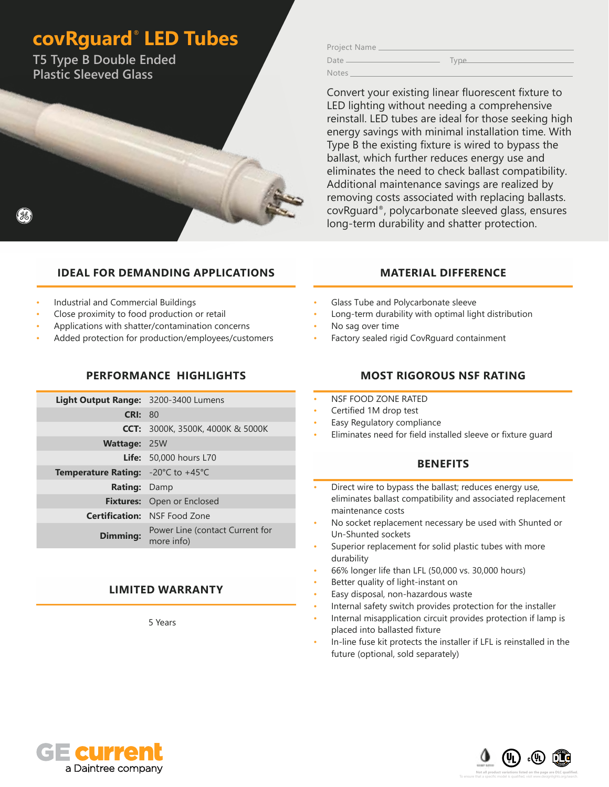# **covRguard**®  **LED Tubes**

**T5 Type B Double Ended Plastic Sleeved Glass**

Project Name Date Type

Convert your existing linear fluorescent fixture to LED lighting without needing a comprehensive reinstall. LED tubes are ideal for those seeking high energy savings with minimal installation time. With Type B the existing fixture is wired to bypass the ballast, which further reduces energy use and eliminates the need to check ballast compatibility. Additional maintenance savings are realized by removing costs associated with replacing ballasts. covRguard®, polycarbonate sleeved glass, ensures long-term durability and shatter protection.

### **IDEAL FOR DEMANDING APPLICATIONS**

- Industrial and Commercial Buildings
- Close proximity to food production or retail
- Applications with shatter/contamination concerns
- Added protection for production/employees/customers

#### **PERFORMANCE HIGHLIGHTS**

| Light Output Range: 3200-3400 Lumens                          |                                               |
|---------------------------------------------------------------|-----------------------------------------------|
| CRI: 80                                                       |                                               |
|                                                               | <b>CCT:</b> 3000K, 3500K, 4000K & 5000K       |
| <b>Wattage: 25W</b>                                           |                                               |
|                                                               | <b>Life:</b> 50,000 hours L70                 |
| <b>Temperature Rating:</b> $-20^{\circ}$ C to $+45^{\circ}$ C |                                               |
| <b>Rating: Damp</b>                                           |                                               |
|                                                               | <b>Fixtures:</b> Open or Enclosed             |
|                                                               | <b>Certification: NSF Food Zone</b>           |
| <b>Dimming:</b>                                               | Power Line (contact Current for<br>more info) |

#### **LIMITED WARRANTY**

5 Years

#### **MATERIAL DIFFERENCE**

- Glass Tube and Polycarbonate sleeve
- Long-term durability with optimal light distribution
- No sag over time

Notes

• Factory sealed rigid CovRguard containment

#### **MOST RIGOROUS NSF RATING**

- NSF FOOD ZONE RATED
- Certified 1M drop test
- Easy Regulatory compliance
- Eliminates need for field installed sleeve or fixture guard

#### **BENEFITS**

- Direct wire to bypass the ballast; reduces energy use, eliminates ballast compatibility and associated replacement maintenance costs
- No socket replacement necessary be used with Shunted or Un-Shunted sockets
- Superior replacement for solid plastic tubes with more durability
- 66% longer life than LFL (50,000 vs. 30,000 hours)
- Better quality of light-instant on
- Easy disposal, non-hazardous waste
- Internal safety switch provides protection for the installer
- Internal misapplication circuit provides protection if lamp is placed into ballasted fixture
- In-line fuse kit protects the installer if LFL is reinstalled in the future (optional, sold separately)